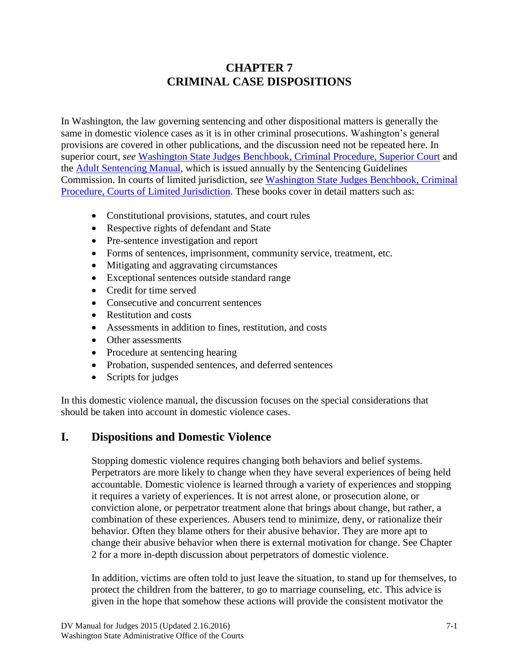# **CHAPTER 7 CRIMINAL CASE DISPOSITIONS**

In Washington, the law governing sentencing and other dispositional matters is generally the same in domestic violence cases as it is in other criminal prosecutions. Washington's general provisions are covered in other publications, and the discussion need not be repeated here. In superior court, *see* [Washington State Judges Benchbook, Criminal Procedure, Superior Court](http://inside.courts.wa.gov/index.cfm?fa=cntlManuals.listManuals&manualId=crimsup&manualType=jdgbench) and the [Adult Sentencing Manual,](http://www.cfc.wa.gov/PublicationSentencing/SentencingManual/Adult_Sentencing_Manual_2012_20130815.pdf) which is issued annually by the Sentencing Guidelines Commission. In courts of limited jurisdiction, *see* [Washington State Judges Benchbook, Criminal](http://inside.courts.wa.gov/index.cfm?fa=cntlManuals.listManuals&manualId=crimclj&manualType=jdgbench)  [Procedure, Courts of Limited Jurisdiction.](http://inside.courts.wa.gov/index.cfm?fa=cntlManuals.listManuals&manualId=crimclj&manualType=jdgbench) These books cover in detail matters such as:

- Constitutional provisions, statutes, and court rules
- Respective rights of defendant and State
- Pre-sentence investigation and report
- Forms of sentences, imprisonment, community service, treatment, etc.
- Mitigating and aggravating circumstances
- Exceptional sentences outside standard range
- Credit for time served
- Consecutive and concurrent sentences
- Restitution and costs
- Assessments in addition to fines, restitution, and costs
- Other assessments
- Procedure at sentencing hearing
- Probation, suspended sentences, and deferred sentences
- Scripts for judges

In this domestic violence manual, the discussion focuses on the special considerations that should be taken into account in domestic violence cases.

## **I. Dispositions and Domestic Violence**

Stopping domestic violence requires changing both behaviors and belief systems. Perpetrators are more likely to change when they have several experiences of being held accountable. Domestic violence is learned through a variety of experiences and stopping it requires a variety of experiences. It is not arrest alone, or prosecution alone, or conviction alone, or perpetrator treatment alone that brings about change, but rather, a combination of these experiences. Abusers tend to minimize, deny, or rationalize their behavior. Often they blame others for their abusive behavior. They are more apt to change their abusive behavior when there is external motivation for change. See Chapter 2 for a more in-depth discussion about perpetrators of domestic violence.

In addition, victims are often told to just leave the situation, to stand up for themselves, to protect the children from the batterer, to go to marriage counseling, etc. This advice is given in the hope that somehow these actions will provide the consistent motivator the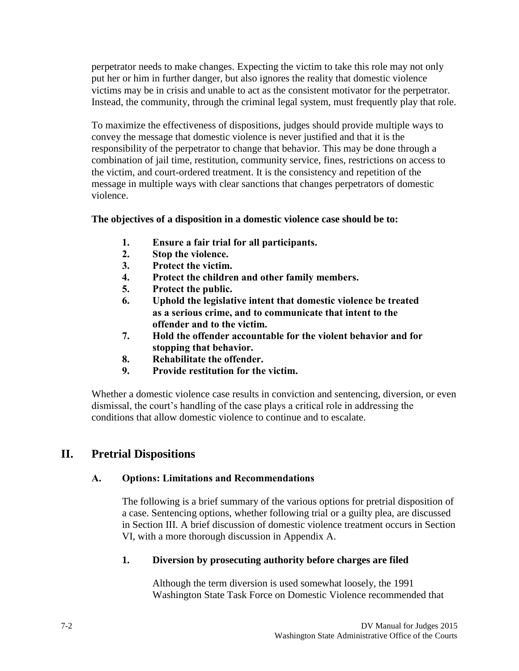perpetrator needs to make changes. Expecting the victim to take this role may not only put her or him in further danger, but also ignores the reality that domestic violence victims may be in crisis and unable to act as the consistent motivator for the perpetrator. Instead, the community, through the criminal legal system, must frequently play that role.

To maximize the effectiveness of dispositions, judges should provide multiple ways to convey the message that domestic violence is never justified and that it is the responsibility of the perpetrator to change that behavior. This may be done through a combination of jail time, restitution, community service, fines, restrictions on access to the victim, and court-ordered treatment. It is the consistency and repetition of the message in multiple ways with clear sanctions that changes perpetrators of domestic violence.

#### **The objectives of a disposition in a domestic violence case should be to:**

- **1. Ensure a fair trial for all participants.**
- **2. Stop the violence.**
- **3. Protect the victim.**
- **4. Protect the children and other family members.**
- **5. Protect the public.**
- **6. Uphold the legislative intent that domestic violence be treated as a serious crime, and to communicate that intent to the offender and to the victim.**
- **7. Hold the offender accountable for the violent behavior and for stopping that behavior.**
- **8. Rehabilitate the offender.**
- **9. Provide restitution for the victim.**

Whether a domestic violence case results in conviction and sentencing, diversion, or even dismissal, the court's handling of the case plays a critical role in addressing the conditions that allow domestic violence to continue and to escalate.

## **II. Pretrial Dispositions**

#### **A. Options: Limitations and Recommendations**

The following is a brief summary of the various options for pretrial disposition of a case. Sentencing options, whether following trial or a guilty plea, are discussed in Section III. A brief discussion of domestic violence treatment occurs in Section VI, with a more thorough discussion in Appendix A.

#### **1. Diversion by prosecuting authority before charges are filed**

Although the term diversion is used somewhat loosely, the 1991 Washington State Task Force on Domestic Violence recommended that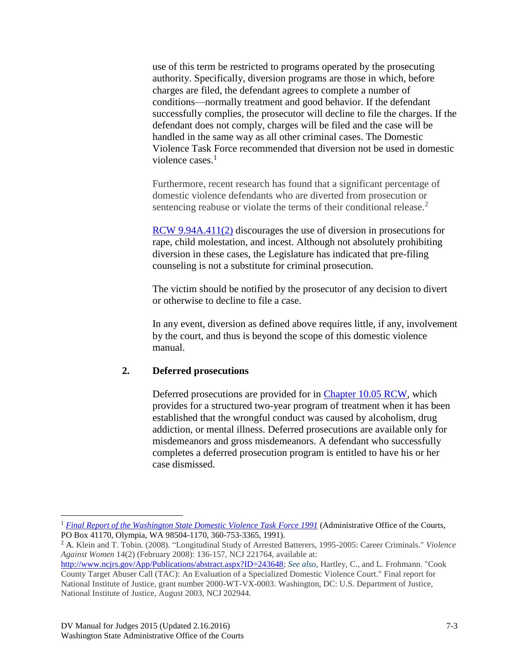use of this term be restricted to programs operated by the prosecuting authority. Specifically, diversion programs are those in which, before charges are filed, the defendant agrees to complete a number of conditions—normally treatment and good behavior. If the defendant successfully complies, the prosecutor will decline to file the charges. If the defendant does not comply, charges will be filed and the case will be handled in the same way as all other criminal cases. The Domestic Violence Task Force recommended that diversion not be used in domestic violence cases. 1

Furthermore, recent research has found that a significant percentage of domestic violence defendants who are diverted from prosecution or sentencing reabuse or violate the terms of their conditional release.<sup>2</sup>

[RCW 9.94A.411\(2\)](http://apps.leg.wa.gov/RCW/default.aspx?cite=9.94A.411) discourages the use of diversion in prosecutions for rape, child molestation, and incest. Although not absolutely prohibiting diversion in these cases, the Legislature has indicated that pre-filing counseling is not a substitute for criminal prosecution.

The victim should be notified by the prosecutor of any decision to divert or otherwise to decline to file a case.

In any event, diversion as defined above requires little, if any, involvement by the court, and thus is beyond the scope of this domestic violence manual.

#### **2. Deferred prosecutions**

Deferred prosecutions are provided for in [Chapter 10.05 RCW,](http://apps.leg.wa.gov/RCW/default.aspx?cite=10.05) which provides for a structured two-year program of treatment when it has been established that the wrongful conduct was caused by alcoholism, drug addiction, or mental illness. Deferred prosecutions are available only for misdemeanors and gross misdemeanors. A defendant who successfully completes a deferred prosecution program is entitled to have his or her case dismissed.

<sup>2</sup> A. Klein and T. Tobin. (2008). "Longitudinal Study of Arrested Batterers, 1995-2005: Career Criminals." *Violence Against Women* 14(2) (February 2008): 136-157, NCJ 221764, available at:

[http://www.ncjrs.gov/App/Publications/abstract.aspx?ID=243648;](http://www.ncjrs.gov/App/Publications/abstract.aspx?ID=243648) *See also,* Hartley, C., and L. Frohmann. "Cook County Target Abuser Call (TAC): An Evaluation of a Specialized Domestic Violence Court." Final report for National Institute of Justice, grant number 2000-WT-VX-0003. Washington, DC: U.S. Department of Justice, National Institute of Justice, August 2003, NCJ 202944.

 $\overline{a}$ 

<sup>&</sup>lt;sup>1</sup> [Final Report of the Washington State Domestic Violence Task Force 1991](http://www.courts.wa.gov/committee/docs/dvTaskForceFinalReport1991.doc) (Administrative Office of the Courts, PO Box 41170, Olympia, WA 98504-1170, 360-753-3365, 1991).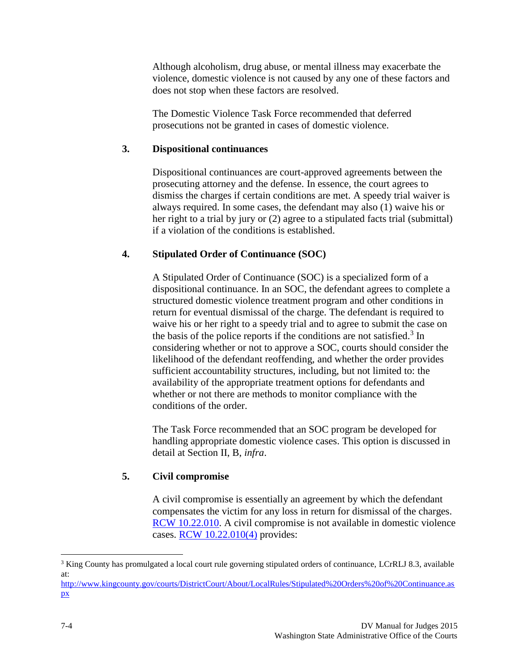Although alcoholism, drug abuse, or mental illness may exacerbate the violence, domestic violence is not caused by any one of these factors and does not stop when these factors are resolved.

The Domestic Violence Task Force recommended that deferred prosecutions not be granted in cases of domestic violence.

#### **3. Dispositional continuances**

Dispositional continuances are court-approved agreements between the prosecuting attorney and the defense. In essence, the court agrees to dismiss the charges if certain conditions are met. A speedy trial waiver is always required. In some cases, the defendant may also (1) waive his or her right to a trial by jury or (2) agree to a stipulated facts trial (submittal) if a violation of the conditions is established.

#### **4. Stipulated Order of Continuance (SOC)**

A Stipulated Order of Continuance (SOC) is a specialized form of a dispositional continuance. In an SOC, the defendant agrees to complete a structured domestic violence treatment program and other conditions in return for eventual dismissal of the charge. The defendant is required to waive his or her right to a speedy trial and to agree to submit the case on the basis of the police reports if the conditions are not satisfied.<sup>3</sup> In considering whether or not to approve a SOC, courts should consider the likelihood of the defendant reoffending, and whether the order provides sufficient accountability structures, including, but not limited to: the availability of the appropriate treatment options for defendants and whether or not there are methods to monitor compliance with the conditions of the order.

The Task Force recommended that an SOC program be developed for handling appropriate domestic violence cases. This option is discussed in detail at Section II, B, *infra*.

#### **5. Civil compromise**

A civil compromise is essentially an agreement by which the defendant compensates the victim for any loss in return for dismissal of the charges. [RCW 10.22.010.](http://apps.leg.wa.gov/RCW/default.aspx?cite=10.22.010) A civil compromise is not available in domestic violence cases. [RCW 10.22.010\(4\)](http://apps.leg.wa.gov/RCW/default.aspx?cite=10.22.010) provides:

 $\overline{a}$ 

<sup>&</sup>lt;sup>3</sup> King County has promulgated a local court rule governing stipulated orders of continuance, LCrRLJ 8.3, available at:

[http://www.kingcounty.gov/courts/DistrictCourt/About/LocalRules/Stipulated%20Orders%20of%20Continuance.as](http://www.kingcounty.gov/courts/DistrictCourt/About/LocalRules/Stipulated%20Orders%20of%20Continuance.aspx) [px](http://www.kingcounty.gov/courts/DistrictCourt/About/LocalRules/Stipulated%20Orders%20of%20Continuance.aspx)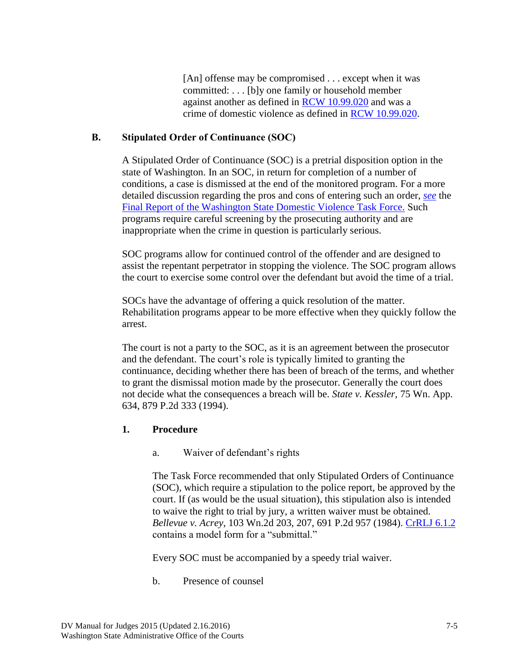[An] offense may be compromised . . . except when it was committed: . . . [b]y one family or household member against another as defined in [RCW 10.99.020](http://apps.leg.wa.gov/RCW/default.aspx?cite=10.99.020) and was a crime of domestic violence as defined in [RCW 10.99.020.](http://apps.leg.wa.gov/RCW/default.aspx?cite=10.99.020)

### **B. Stipulated Order of Continuance (SOC)**

A Stipulated Order of Continuance (SOC) is a pretrial disposition option in the state of Washington. In an SOC, in return for completion of a number of conditions, a case is dismissed at the end of the monitored program. For a more detailed discussion regarding the pros and cons of entering such an order, *see* the [Final Report of the Washington State Domestic Violence Task Force.](http://www.courts.wa.gov/programs_orgs/gjc/documents/dvTaskForceFinalReport1991.doc) Such programs require careful screening by the prosecuting authority and are inappropriate when the crime in question is particularly serious.

SOC programs allow for continued control of the offender and are designed to assist the repentant perpetrator in stopping the violence. The SOC program allows the court to exercise some control over the defendant but avoid the time of a trial.

SOCs have the advantage of offering a quick resolution of the matter. Rehabilitation programs appear to be more effective when they quickly follow the arrest.

The court is not a party to the SOC, as it is an agreement between the prosecutor and the defendant. The court's role is typically limited to granting the continuance, deciding whether there has been of breach of the terms, and whether to grant the dismissal motion made by the prosecutor. Generally the court does not decide what the consequences a breach will be. *State v. Kessler,* 75 Wn. App. 634, 879 P.2d 333 (1994).

#### **1. Procedure**

a. Waiver of defendant's rights

The Task Force recommended that only Stipulated Orders of Continuance (SOC), which require a stipulation to the police report, be approved by the court. If (as would be the usual situation), this stipulation also is intended to waive the right to trial by jury, a written waiver must be obtained. *Bellevue v. Acrey*, 103 Wn.2d 203, 207, 691 P.2d 957 (1984). [CrRLJ 6.1.2](http://www.courts.wa.gov/court_rules/?fa=court_rules.display&group=clj&set=CrRLJ&ruleid=cljcrrlj6.01.2) contains a model form for a "submittal."

Every SOC must be accompanied by a speedy trial waiver.

b. Presence of counsel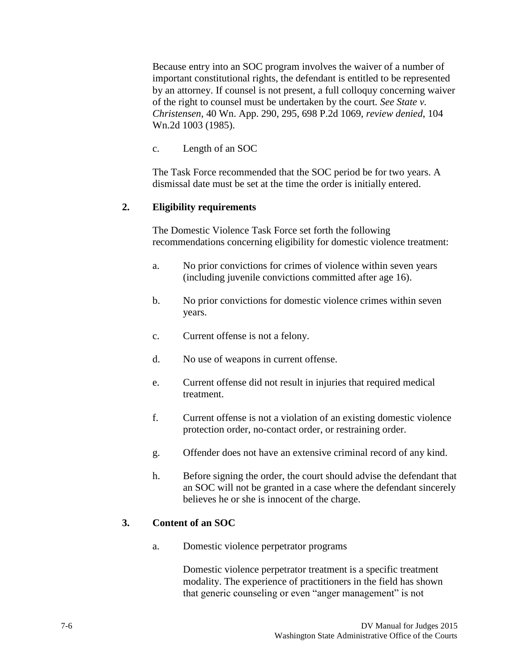Because entry into an SOC program involves the waiver of a number of important constitutional rights, the defendant is entitled to be represented by an attorney. If counsel is not present, a full colloquy concerning waiver of the right to counsel must be undertaken by the court*. See State v. Christensen*, 40 Wn. App. 290, 295, 698 P.2d 1069, *review denied*, 104 Wn.2d 1003 (1985).

c. Length of an SOC

The Task Force recommended that the SOC period be for two years. A dismissal date must be set at the time the order is initially entered.

#### **2. Eligibility requirements**

The Domestic Violence Task Force set forth the following recommendations concerning eligibility for domestic violence treatment:

- a. No prior convictions for crimes of violence within seven years (including juvenile convictions committed after age 16).
- b. No prior convictions for domestic violence crimes within seven years.
- c. Current offense is not a felony.
- d. No use of weapons in current offense.
- e. Current offense did not result in injuries that required medical treatment.
- f. Current offense is not a violation of an existing domestic violence protection order, no-contact order, or restraining order.
- g. Offender does not have an extensive criminal record of any kind.
- h. Before signing the order, the court should advise the defendant that an SOC will not be granted in a case where the defendant sincerely believes he or she is innocent of the charge.

#### **3. Content of an SOC**

a. Domestic violence perpetrator programs

Domestic violence perpetrator treatment is a specific treatment modality. The experience of practitioners in the field has shown that generic counseling or even "anger management" is not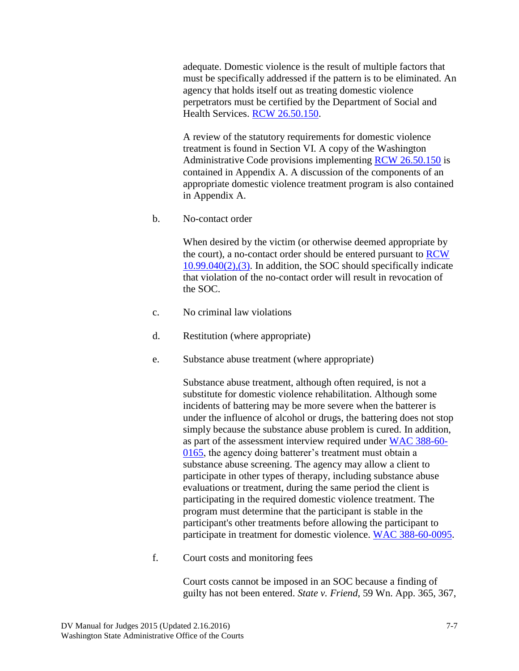adequate. Domestic violence is the result of multiple factors that must be specifically addressed if the pattern is to be eliminated. An agency that holds itself out as treating domestic violence perpetrators must be certified by the Department of Social and Health Services. [RCW 26.50.150.](http://apps.leg.wa.gov/RCW/default.aspx?cite=26.50.150)

A review of the statutory requirements for domestic violence treatment is found in Section VI. A copy of the Washington Administrative Code provisions implementing [RCW 26.50.150](http://apps.leg.wa.gov/RCW/default.aspx?cite=26.50.150) is contained in Appendix A. A discussion of the components of an appropriate domestic violence treatment program is also contained in Appendix A.

b. No-contact order

When desired by the victim (or otherwise deemed appropriate by the court), a no-contact order should be entered pursuant to [RCW](http://apps.leg.wa.gov/RCW/default.aspx?cite=10.99.040)  [10.99.040\(2\),\(3\).](http://apps.leg.wa.gov/RCW/default.aspx?cite=10.99.040) In addition, the SOC should specifically indicate that violation of the no-contact order will result in revocation of the SOC.

- c. No criminal law violations
- d. Restitution (where appropriate)
- e. Substance abuse treatment (where appropriate)

Substance abuse treatment, although often required, is not a substitute for domestic violence rehabilitation. Although some incidents of battering may be more severe when the batterer is under the influence of alcohol or drugs, the battering does not stop simply because the substance abuse problem is cured. In addition, as part of the assessment interview required under [WAC 388-60-](http://apps.leg.wa.gov/WAC/default.aspx?cite=388-60-0165) [0165,](http://apps.leg.wa.gov/WAC/default.aspx?cite=388-60-0165) the agency doing batterer's treatment must obtain a substance abuse screening. The agency may allow a client to participate in other types of therapy, including substance abuse evaluations or treatment, during the same period the client is participating in the required domestic violence treatment. The program must determine that the participant is stable in the participant's other treatments before allowing the participant to participate in treatment for domestic violence. [WAC 388-60-0095.](http://apps.leg.wa.gov/WAC/default.aspx?cite=388-60-0095)

f. Court costs and monitoring fees

Court costs cannot be imposed in an SOC because a finding of guilty has not been entered. *State v. Friend*, 59 Wn. App. 365, 367,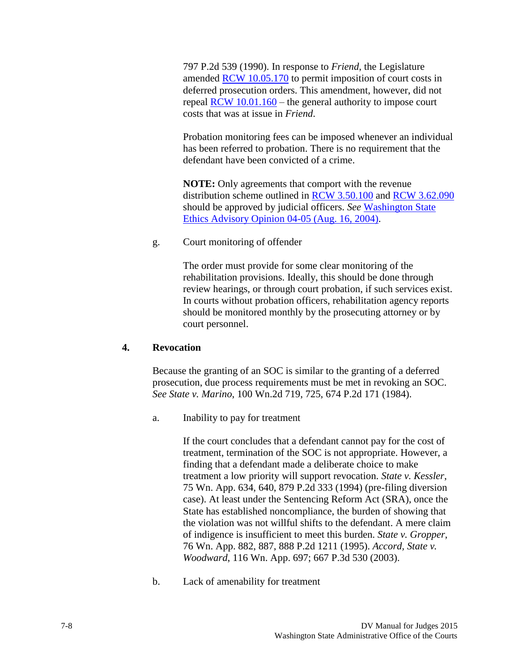797 P.2d 539 (1990). In response to *Friend*, the Legislature amended [RCW 10.05.170](http://apps.leg.wa.gov/RCW/default.aspx?cite=10.05.170) to permit imposition of court costs in deferred prosecution orders. This amendment, however, did not repeal  $RCW$  10.01.160 – the general authority to impose court costs that was at issue in *Friend*.

Probation monitoring fees can be imposed whenever an individual has been referred to probation. There is no requirement that the defendant have been convicted of a crime.

**NOTE:** Only agreements that comport with the revenue distribution scheme outlined in [RCW 3.50.100](http://apps.leg.wa.gov/RCW/default.aspx?cite=3.50.100) and [RCW 3.62.090](http://apps.leg.wa.gov/RCW/default.aspx?cite=3.62.090) should be approved by judicial officers. *See* [Washington State](http://www.courts.wa.gov/programs_orgs/pos_ethics/?fa=pos_ethics.dispopin&mode=0405) Ethics Advisory Opinion 04-05 (Aug. 16, 2004).

g. Court monitoring of offender

The order must provide for some clear monitoring of the rehabilitation provisions. Ideally, this should be done through review hearings, or through court probation, if such services exist. In courts without probation officers, rehabilitation agency reports should be monitored monthly by the prosecuting attorney or by court personnel.

#### **4. Revocation**

Because the granting of an SOC is similar to the granting of a deferred prosecution, due process requirements must be met in revoking an SOC. *See State v. Marino*, 100 Wn.2d 719, 725, 674 P.2d 171 (1984).

a. Inability to pay for treatment

If the court concludes that a defendant cannot pay for the cost of treatment, termination of the SOC is not appropriate. However, a finding that a defendant made a deliberate choice to make treatment a low priority will support revocation. *State v. Kessler*, 75 Wn. App. 634, 640, 879 P.2d 333 (1994) (pre-filing diversion case). At least under the Sentencing Reform Act (SRA), once the State has established noncompliance, the burden of showing that the violation was not willful shifts to the defendant. A mere claim of indigence is insufficient to meet this burden. *State v. Gropper*, 76 Wn. App. 882, 887, 888 P.2d 1211 (1995). *Accord, State v. Woodward*, 116 Wn. App. 697; 667 P.3d 530 (2003).

b. Lack of amenability for treatment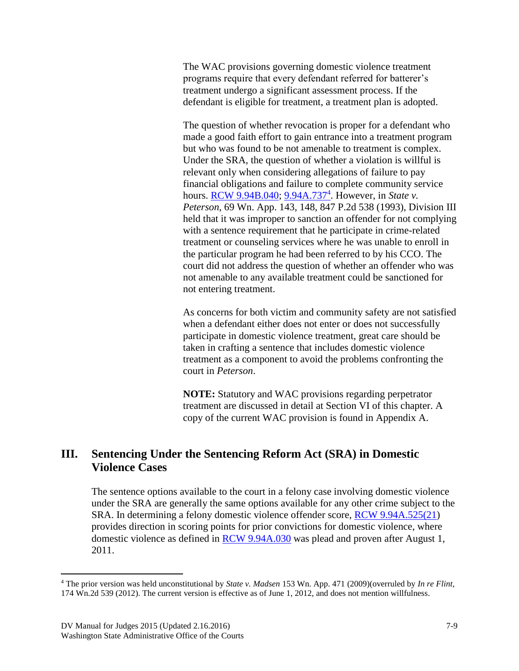The WAC provisions governing domestic violence treatment programs require that every defendant referred for batterer's treatment undergo a significant assessment process. If the defendant is eligible for treatment, a treatment plan is adopted.

The question of whether revocation is proper for a defendant who made a good faith effort to gain entrance into a treatment program but who was found to be not amenable to treatment is complex. Under the SRA, the question of whether a violation is willful is relevant only when considering allegations of failure to pay financial obligations and failure to complete community service hours. **RCW** 9.94B.040; [9.94A.737](http://apps.leg.wa.gov/RCW/default.aspx?cite=9.94A.737)<sup>4</sup>. However, in *State v*. *Peterson*, 69 Wn. App. 143, 148, 847 P.2d 538 (1993), Division III held that it was improper to sanction an offender for not complying with a sentence requirement that he participate in crime-related treatment or counseling services where he was unable to enroll in the particular program he had been referred to by his CCO. The court did not address the question of whether an offender who was not amenable to any available treatment could be sanctioned for not entering treatment.

As concerns for both victim and community safety are not satisfied when a defendant either does not enter or does not successfully participate in domestic violence treatment, great care should be taken in crafting a sentence that includes domestic violence treatment as a component to avoid the problems confronting the court in *Peterson*.

**NOTE:** Statutory and WAC provisions regarding perpetrator treatment are discussed in detail at Section VI of this chapter. A copy of the current WAC provision is found in Appendix A.

## **III. Sentencing Under the Sentencing Reform Act (SRA) in Domestic Violence Cases**

The sentence options available to the court in a felony case involving domestic violence under the SRA are generally the same options available for any other crime subject to the SRA. In determining a felony domestic violence offender score, [RCW 9.94A.525\(21\)](http://apps.leg.wa.gov/RCW/default.aspx?cite=9.94A.525) provides direction in scoring points for prior convictions for domestic violence, where domestic violence as defined in [RCW 9.94A.030](http://apps.leg.wa.gov/rcw/default.aspx?cite=9.94A.030) was plead and proven after August 1, 2011.

 $\overline{a}$ 

<sup>4</sup> The prior version was held unconstitutional by *State v. Madsen* 153 Wn. App. 471 (2009)(overruled by *In re Flint,* 174 Wn.2d 539 (2012). The current version is effective as of June 1, 2012, and does not mention willfulness.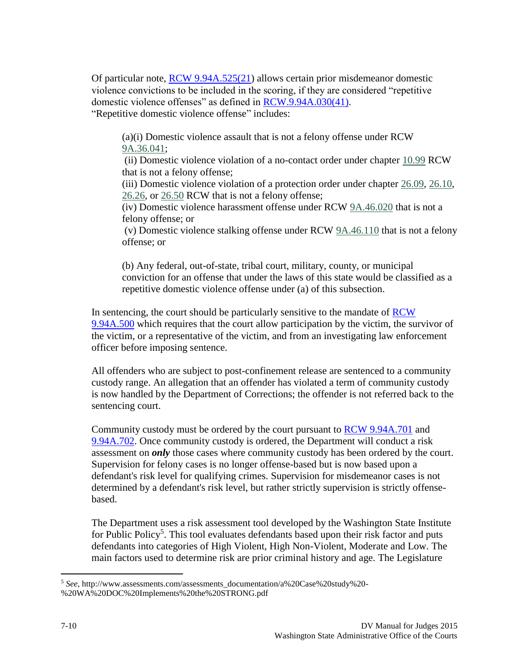Of particular note, [RCW 9.94A.525\(21\)](http://apps.leg.wa.gov/RCW/default.aspx?cite=9.94A.525) allows certain prior misdemeanor domestic violence convictions to be included in the scoring, if they are considered "repetitive domestic violence offenses" as defined in [RCW.9.94A.030\(41\).](http://apps.leg.wa.gov/RCW/default.aspx?cite=9.94A.030) "Repetitive domestic violence offense" includes:

(a)(i) Domestic violence assault that is not a felony offense under RCW [9A.36.041;](http://apps.leg.wa.gov/rcw/default.aspx?cite=9A.36.041)

(ii) Domestic violence violation of a no-contact order under chapter [10.99](http://apps.leg.wa.gov/rcw/default.aspx?cite=10.99) RCW that is not a felony offense;

(iii) Domestic violence violation of a protection order under chapter [26.09,](http://apps.leg.wa.gov/rcw/default.aspx?cite=26.09) [26.10,](http://apps.leg.wa.gov/rcw/default.aspx?cite=26.10) [26.26,](http://apps.leg.wa.gov/rcw/default.aspx?cite=26.26) or [26.50](http://apps.leg.wa.gov/rcw/default.aspx?cite=26.50) RCW that is not a felony offense;

(iv) Domestic violence harassment offense under RCW [9A.46.020](http://apps.leg.wa.gov/rcw/default.aspx?cite=9A.46.020) that is not a felony offense; or

(v) Domestic violence stalking offense under RCW [9A.46.110](http://apps.leg.wa.gov/rcw/default.aspx?cite=9A.46.110) that is not a felony offense; or

(b) Any federal, out-of-state, tribal court, military, county, or municipal conviction for an offense that under the laws of this state would be classified as a repetitive domestic violence offense under (a) of this subsection.

In sentencing, the court should be particularly sensitive to the mandate of [RCW](http://apps.leg.wa.gov/RCW/default.aspx?cite=9.94A.500)  [9.94A.500](http://apps.leg.wa.gov/RCW/default.aspx?cite=9.94A.500) which requires that the court allow participation by the victim, the survivor of the victim, or a representative of the victim, and from an investigating law enforcement officer before imposing sentence.

All offenders who are subject to post-confinement release are sentenced to a community custody range. An allegation that an offender has violated a term of community custody is now handled by the Department of Corrections; the offender is not referred back to the sentencing court.

Community custody must be ordered by the court pursuant to [RCW 9.94A.701](http://apps.leg.wa.gov/rcw/default.aspx?cite=9.94A.701) and [9.94A.702.](http://apps.leg.wa.gov/rcw/default.aspx?cite=9.94A.702) Once community custody is ordered, the Department will conduct a risk assessment on *only* those cases where community custody has been ordered by the court. Supervision for felony cases is no longer offense-based but is now based upon a defendant's risk level for qualifying crimes. Supervision for misdemeanor cases is not determined by a defendant's risk level, but rather strictly supervision is strictly offensebased.

The Department uses a risk assessment tool developed by the Washington State Institute for Public Policy<sup>5</sup>. This tool evaluates defendants based upon their risk factor and puts defendants into categories of High Violent, High Non-Violent, Moderate and Low. The main factors used to determine risk are prior criminal history and age. The Legislature

 $\overline{a}$ <sup>5</sup> *See*, http://www.assessments.com/assessments\_documentation/a%20Case%20study%20- %20WA%20DOC%20Implements%20the%20STRONG.pdf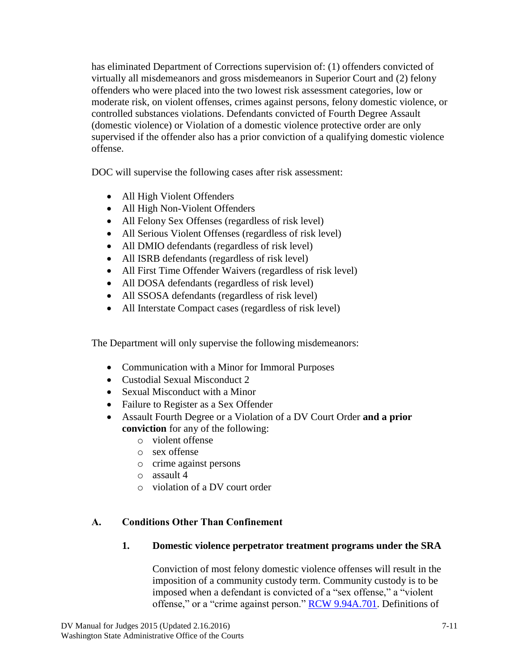has eliminated Department of Corrections supervision of: (1) offenders convicted of virtually all misdemeanors and gross misdemeanors in Superior Court and (2) felony offenders who were placed into the two lowest risk assessment categories, low or moderate risk, on violent offenses, crimes against persons, felony domestic violence, or controlled substances violations. Defendants convicted of Fourth Degree Assault (domestic violence) or Violation of a domestic violence protective order are only supervised if the offender also has a prior conviction of a qualifying domestic violence offense.

DOC will supervise the following cases after risk assessment:

- All High Violent Offenders
- All High Non-Violent Offenders
- All Felony Sex Offenses (regardless of risk level)
- All Serious Violent Offenses (regardless of risk level)
- All DMIO defendants (regardless of risk level)
- All ISRB defendants (regardless of risk level)
- All First Time Offender Waivers (regardless of risk level)
- All DOSA defendants (regardless of risk level)
- All SSOSA defendants (regardless of risk level)
- All Interstate Compact cases (regardless of risk level)

The Department will only supervise the following misdemeanors:

- Communication with a Minor for Immoral Purposes
- Custodial Sexual Misconduct 2
- Sexual Misconduct with a Minor
- Failure to Register as a Sex Offender
- Assault Fourth Degree or a Violation of a DV Court Order **and a prior conviction** for any of the following:
	- o violent offense
	- o sex offense
	- o crime against persons
	- o assault 4
	- o violation of a DV court order

## **A. Conditions Other Than Confinement**

#### **1. Domestic violence perpetrator treatment programs under the SRA**

Conviction of most felony domestic violence offenses will result in the imposition of a community custody term. Community custody is to be imposed when a defendant is convicted of a "sex offense," a "violent offense," or a "crime against person." [RCW 9.94A.701.](file:///E:/Judges) Definitions of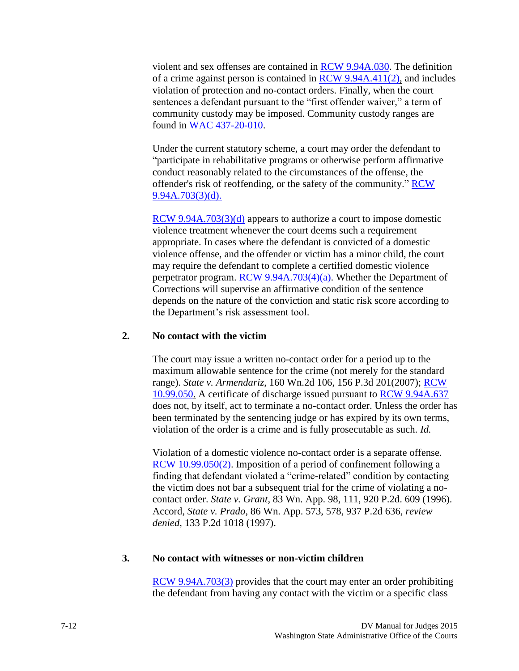violent and sex offenses are contained in [RCW 9.94A.030.](http://apps.leg.wa.gov/RCW/default.aspx?cite=9.94A.030) The definition of a crime against person is contained in [RCW 9.94A.411\(2\),](http://apps.leg.wa.gov/RCW/default.aspx?cite=9.94A.411) and includes violation of protection and no-contact orders. Finally, when the court sentences a defendant pursuant to the "first offender waiver," a term of community custody may be imposed. Community custody ranges are found in [WAC 437-20-010.](http://apps.leg.wa.gov/WAC/default.aspx?cite=437-20-010)

Under the current statutory scheme, a court may order the defendant to "participate in rehabilitative programs or otherwise perform affirmative conduct reasonably related to the circumstances of the offense, the offender's risk of reoffending, or the safety of the community." [RCW](file:///E:/Judges)  [9.94A.703\(3\)\(d\).](file:///E:/Judges)

[RCW 9.94A.703\(3\)\(d\)](file:///E:/Judges) appears to authorize a court to impose domestic violence treatment whenever the court deems such a requirement appropriate. In cases where the defendant is convicted of a domestic violence offense, and the offender or victim has a minor child, the court may require the defendant to complete a certified domestic violence perpetrator program. [RCW 9.94A.703\(4\)\(a\).](file:///E:/Judges) Whether the Department of Corrections will supervise an affirmative condition of the sentence depends on the nature of the conviction and static risk score according to the Department's risk assessment tool.

#### **2. No contact with the victim**

The court may issue a written no-contact order for a period up to the maximum allowable sentence for the crime (not merely for the standard range). *State v. Armendariz*, 160 Wn.2d 106, 156 P.3d 201(2007); [RCW](http://apps.leg.wa.gov/RCW/default.aspx?cite=10.99.050)  [10.99.050.](http://apps.leg.wa.gov/RCW/default.aspx?cite=10.99.050) A certificate of discharge issued pursuant to [RCW 9.94A.637](http://apps.leg.wa.gov/RCW/default.aspx?cite=9.94A.637) does not, by itself, act to terminate a no-contact order. Unless the order has been terminated by the sentencing judge or has expired by its own terms, violation of the order is a crime and is fully prosecutable as such. *Id.*

Violation of a domestic violence no-contact order is a separate offense. [RCW 10.99.050\(2\).](http://apps.leg.wa.gov/RCW/default.aspx?cite=10.99.050) Imposition of a period of confinement following a finding that defendant violated a "crime-related" condition by contacting the victim does not bar a subsequent trial for the crime of violating a nocontact order. *State v. Grant*, 83 Wn. App. 98, 111, 920 P.2d. 609 (1996). Accord, *State v. Prado*, 86 Wn. App. 573, 578, 937 P.2d 636, *review denied*, 133 P.2d 1018 (1997).

#### **3. No contact with witnesses or non-victim children**

[RCW 9.94A.703\(3\)](file:///E:/Judges) provides that the court may enter an order prohibiting the defendant from having any contact with the victim or a specific class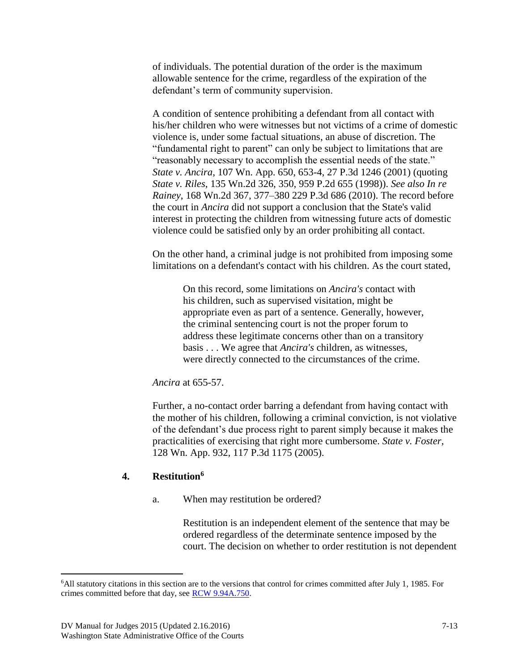of individuals. The potential duration of the order is the maximum allowable sentence for the crime, regardless of the expiration of the defendant's term of community supervision.

A condition of sentence prohibiting a defendant from all contact with his/her children who were witnesses but not victims of a crime of domestic violence is, under some factual situations, an abuse of discretion. The "fundamental right to parent" can only be subject to limitations that are "reasonably necessary to accomplish the essential needs of the state." *State v. Ancira*, 107 Wn. App. 650, 653-4, 27 P.3d 1246 (2001) (quoting *State v. Riles*, 135 Wn.2d 326, 350, 959 P.2d 655 (1998)). *See also In re Rainey*, 168 Wn.2d 367, 377–380 229 P.3d 686 (2010). The record before the court in *Ancira* did not support a conclusion that the State's valid interest in protecting the children from witnessing future acts of domestic violence could be satisfied only by an order prohibiting all contact.

On the other hand, a criminal judge is not prohibited from imposing some limitations on a defendant's contact with his children. As the court stated,

> On this record, some limitations on *Ancira's* contact with his children, such as supervised visitation, might be appropriate even as part of a sentence. Generally, however, the criminal sentencing court is not the proper forum to address these legitimate concerns other than on a transitory basis . . . We agree that *Ancira's* children, as witnesses, were directly connected to the circumstances of the crime.

*Ancira* at 655-57.

Further, a no-contact order barring a defendant from having contact with the mother of his children, following a criminal conviction, is not violative of the defendant's due process right to parent simply because it makes the practicalities of exercising that right more cumbersome. *State v. Foster*, 128 Wn. App. 932, 117 P.3d 1175 (2005).

#### **4. Restitution<sup>6</sup>**

a. When may restitution be ordered?

Restitution is an independent element of the sentence that may be ordered regardless of the determinate sentence imposed by the court. The decision on whether to order restitution is not dependent

 $\overline{a}$ 

<sup>6</sup>All statutory citations in this section are to the versions that control for crimes committed after July 1, 1985. For crimes committed before that day, see [RCW 9.94A.750.](http://apps.leg.wa.gov/RCW/default.aspx?cite=9.94A.750)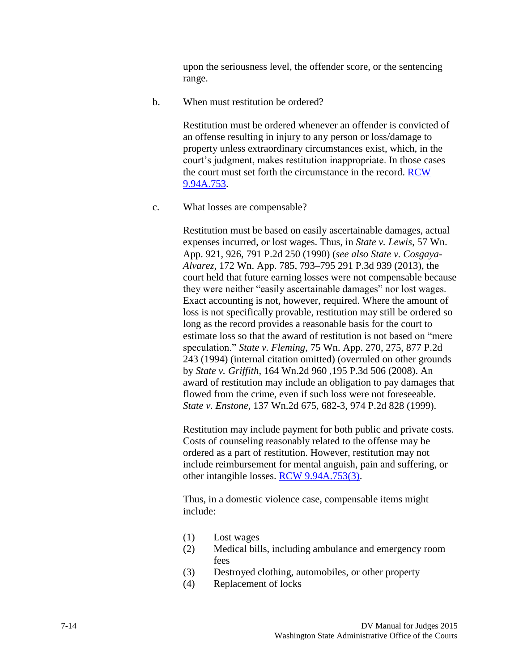upon the seriousness level, the offender score, or the sentencing range.

b. When must restitution be ordered?

Restitution must be ordered whenever an offender is convicted of an offense resulting in injury to any person or loss/damage to property unless extraordinary circumstances exist, which, in the court's judgment, makes restitution inappropriate. In those cases the court must set forth the circumstance in the record. [RCW](http://apps.leg.wa.gov/RCW/default.aspx?cite=9.94A.753)  [9.94A.753.](http://apps.leg.wa.gov/RCW/default.aspx?cite=9.94A.753)

c. What losses are compensable?

Restitution must be based on easily ascertainable damages, actual expenses incurred, or lost wages. Thus, in *State v. Lewis*, 57 Wn. App. 921, 926, 791 P.2d 250 (1990) (*see also State v. Cosgaya-Alvarez*, 172 Wn. App. 785, 793–795 291 P.3d 939 (2013), the court held that future earning losses were not compensable because they were neither "easily ascertainable damages" nor lost wages. Exact accounting is not, however, required. Where the amount of loss is not specifically provable, restitution may still be ordered so long as the record provides a reasonable basis for the court to estimate loss so that the award of restitution is not based on "mere speculation." *State v. Fleming*, 75 Wn. App. 270, 275, 877 P.2d 243 (1994) (internal citation omitted) (overruled on other grounds by *State v. Griffith*, 164 Wn.2d 960 ,195 P.3d 506 (2008). An award of restitution may include an obligation to pay damages that flowed from the crime, even if such loss were not foreseeable. *State v. Enstone*, 137 Wn.2d 675, 682-3, 974 P.2d 828 (1999).

Restitution may include payment for both public and private costs. Costs of counseling reasonably related to the offense may be ordered as a part of restitution. However, restitution may not include reimbursement for mental anguish, pain and suffering, or other intangible losses. [RCW 9.94A.753\(3\).](http://apps.leg.wa.gov/RCW/default.aspx?cite=9.94A.753)

Thus, in a domestic violence case, compensable items might include:

- (1) Lost wages
- (2) Medical bills, including ambulance and emergency room fees
- (3) Destroyed clothing, automobiles, or other property
- (4) Replacement of locks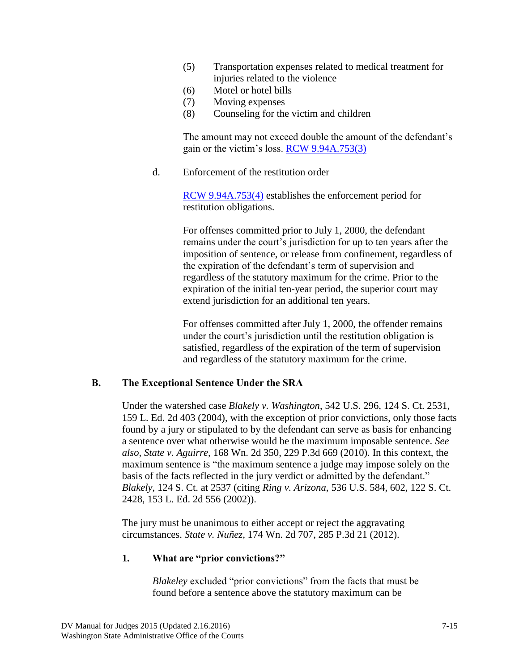- (5) Transportation expenses related to medical treatment for injuries related to the violence
- (6) Motel or hotel bills
- (7) Moving expenses
- (8) Counseling for the victim and children

The amount may not exceed double the amount of the defendant's gain or the victim's loss. [RCW 9.94A.753\(3\)](http://apps.leg.wa.gov/RCW/default.aspx?cite=9.94A.753)

d. Enforcement of the restitution order

[RCW 9.94A.753\(4\)](http://apps.leg.wa.gov/RCW/default.aspx?cite=9.94A.753) establishes the enforcement period for restitution obligations.

For offenses committed prior to July 1, 2000, the defendant remains under the court's jurisdiction for up to ten years after the imposition of sentence, or release from confinement, regardless of the expiration of the defendant's term of supervision and regardless of the statutory maximum for the crime. Prior to the expiration of the initial ten-year period, the superior court may extend jurisdiction for an additional ten years.

For offenses committed after July 1, 2000, the offender remains under the court's jurisdiction until the restitution obligation is satisfied, regardless of the expiration of the term of supervision and regardless of the statutory maximum for the crime.

#### **B. The Exceptional Sentence Under the SRA**

Under the watershed case *Blakely v. Washington*, 542 U.S. 296, 124 S. Ct. 2531, 159 L. Ed. 2d 403 (2004), with the exception of prior convictions, only those facts found by a jury or stipulated to by the defendant can serve as basis for enhancing a sentence over what otherwise would be the maximum imposable sentence. *See also, State v. Aguirre,* 168 Wn. 2d 350, 229 P.3d 669 (2010). In this context, the maximum sentence is "the maximum sentence a judge may impose solely on the basis of the facts reflected in the jury verdict or admitted by the defendant." *Blakely*, 124 S. Ct. at 2537 (citing *Ring v. Arizona*, 536 U.S. 584, 602, 122 S. Ct. 2428, 153 L. Ed. 2d 556 (2002)).

The jury must be unanimous to either accept or reject the aggravating circumstances. *State v. Nuñez,* 174 Wn. 2d 707, 285 P.3d 21 (2012).

#### **1. What are "prior convictions?"**

*Blakeley* excluded "prior convictions" from the facts that must be found before a sentence above the statutory maximum can be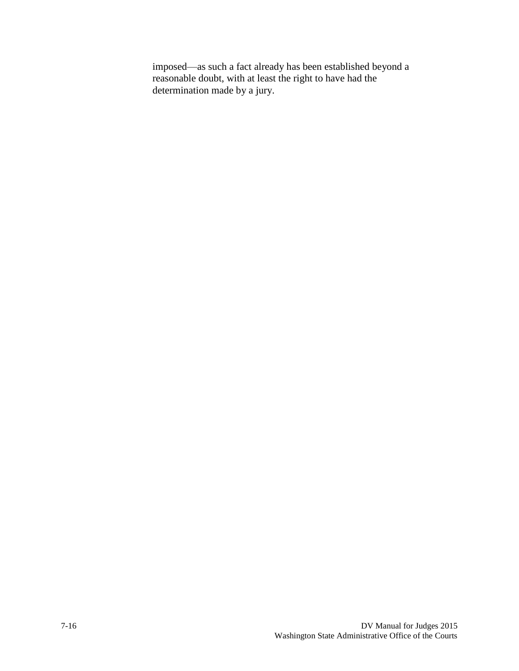imposed—as such a fact already has been established beyond a reasonable doubt, with at least the right to have had the determination made by a jury.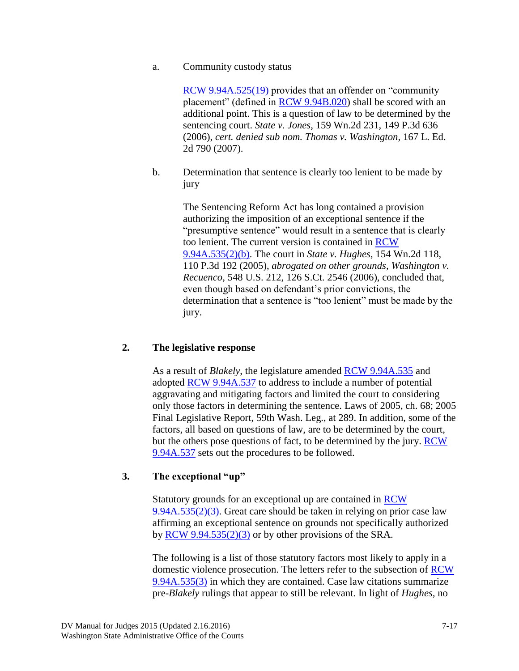#### a. Community custody status

[RCW 9.94A.525\(19\)](http://apps.leg.wa.gov/RCW/default.aspx?cite=9.94A.525) provides that an offender on "community placement" (defined in [RCW 9.94B.020\)](http://apps.leg.wa.gov/RCW/default.aspx?cite=9.94B.020) shall be scored with an additional point. This is a question of law to be determined by the sentencing court. *State v. Jones*, 159 Wn.2d 231, 149 P.3d 636 (2006), *cert. denied sub nom. Thomas v. Washington,* 167 L. Ed. 2d 790 (2007).

b. Determination that sentence is clearly too lenient to be made by jury

> The Sentencing Reform Act has long contained a provision authorizing the imposition of an exceptional sentence if the "presumptive sentence" would result in a sentence that is clearly too lenient. The current version is contained in [RCW](http://apps.leg.wa.gov/RCW/default.aspx?cite=9.94A.535)  [9.94A.535\(2\)\(b\).](http://apps.leg.wa.gov/RCW/default.aspx?cite=9.94A.535) The court in *State v. Hughes*, 154 Wn.2d 118, 110 P.3d 192 (2005), *abrogated on other grounds, Washington v. Recuenco*, 548 U.S. 212, 126 S.Ct. 2546 (2006), concluded that, even though based on defendant's prior convictions, the determination that a sentence is "too lenient" must be made by the jury.

#### **2. The legislative response**

As a result of *Blakely*, the legislature amended [RCW 9.94A.535](http://apps.leg.wa.gov/RCW/default.aspx?cite=9.94A.535) and adopted [RCW 9.94A.537](http://apps.leg.wa.gov/RCW/default.aspx?cite=9.94A.537) to address to include a number of potential aggravating and mitigating factors and limited the court to considering only those factors in determining the sentence. Laws of 2005, ch. 68; 2005 Final Legislative Report, 59th Wash. Leg., at 289. In addition, some of the factors, all based on questions of law, are to be determined by the court, but the others pose questions of fact, to be determined by the jury. [RCW](http://apps.leg.wa.gov/RCW/default.aspx?cite=9.94A.537)  [9.94A.537](http://apps.leg.wa.gov/RCW/default.aspx?cite=9.94A.537) sets out the procedures to be followed.

#### **3. The exceptional "up"**

Statutory grounds for an exceptional up are contained in [RCW](http://apps.leg.wa.gov/RCW/default.aspx?cite=9.94A.535)  [9.94A.535\(2\)\(3\).](http://apps.leg.wa.gov/RCW/default.aspx?cite=9.94A.535) Great care should be taken in relying on prior case law affirming an exceptional sentence on grounds not specifically authorized by  $RCW$  9.94.535(2)(3) or by other provisions of the SRA.

The following is a list of those statutory factors most likely to apply in a domestic violence prosecution. The letters refer to the subsection of [RCW](http://apps.leg.wa.gov/RCW/default.aspx?cite=9.94A.535)  [9.94A.535\(3\)](http://apps.leg.wa.gov/RCW/default.aspx?cite=9.94A.535) in which they are contained. Case law citations summarize pre-*Blakely* rulings that appear to still be relevant. In light of *Hughes,* no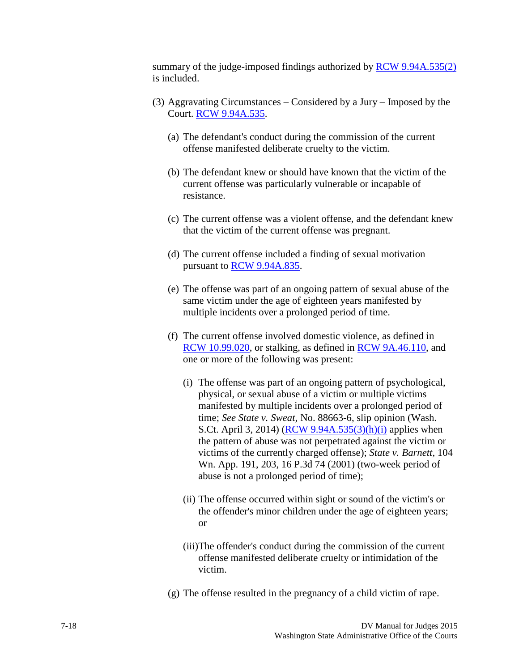summary of the judge-imposed findings authorized by [RCW 9.94A.535\(2\)](http://apps.leg.wa.gov/RCW/default.aspx?cite=9.94A.535) is included.

- (3) Aggravating Circumstances Considered by a Jury Imposed by the Court. [RCW 9.94A.535.](http://apps.leg.wa.gov/RCW/default.aspx?cite=9.94A.535)
	- (a) The defendant's conduct during the commission of the current offense manifested deliberate cruelty to the victim.
	- (b) The defendant knew or should have known that the victim of the current offense was particularly vulnerable or incapable of resistance.
	- (c) The current offense was a violent offense, and the defendant knew that the victim of the current offense was pregnant.
	- (d) The current offense included a finding of sexual motivation pursuant to **RCW** 9.94A.835.
	- (e) The offense was part of an ongoing pattern of sexual abuse of the same victim under the age of eighteen years manifested by multiple incidents over a prolonged period of time.
	- (f) The current offense involved domestic violence, as defined in [RCW 10.99.020,](http://apps.leg.wa.gov/RCW/default.aspx?cite=10.99.020) or stalking, as defined in [RCW 9A.46.110,](http://apps.leg.wa.gov/rcw/default.aspx?cite=9a.46.110) and one or more of the following was present:
		- (i) The offense was part of an ongoing pattern of psychological, physical, or sexual abuse of a victim or multiple victims manifested by multiple incidents over a prolonged period of time; *See State v. Sweat,* No. 88663-6, slip opinion (Wash. S.Ct. April 3, 2014) [\(RCW 9.94A.535\(3\)\(h\)\(i\)](http://apps.leg.wa.gov/rcw/default.aspx?cite=9.94A.535) applies when the pattern of abuse was not perpetrated against the victim or victims of the currently charged offense); *State v. Barnett,* 104 Wn. App. 191, 203, 16 P.3d 74 (2001) (two-week period of abuse is not a prolonged period of time);
		- (ii) The offense occurred within sight or sound of the victim's or the offender's minor children under the age of eighteen years; or
		- (iii)The offender's conduct during the commission of the current offense manifested deliberate cruelty or intimidation of the victim.
	- (g) The offense resulted in the pregnancy of a child victim of rape.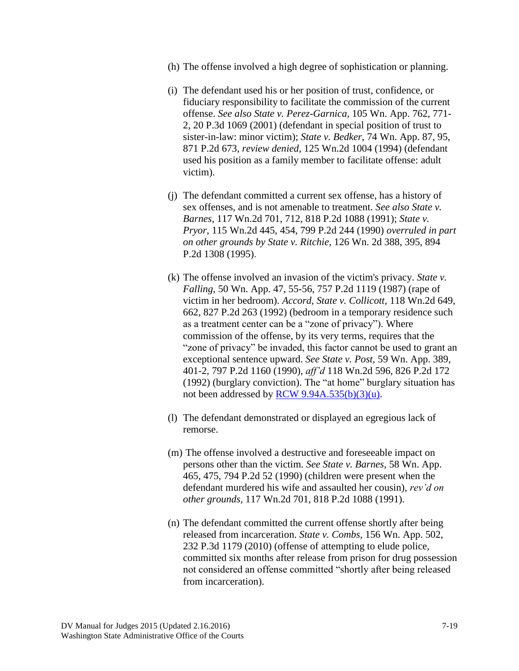- (h) The offense involved a high degree of sophistication or planning.
- (i) The defendant used his or her position of trust, confidence, or fiduciary responsibility to facilitate the commission of the current offense. *See also State v. Perez-Garnica,* 105 Wn. App. 762, 771- 2, 20 P.3d 1069 (2001) (defendant in special position of trust to sister-in-law: minor victim); *State v. Bedker*, 74 Wn. App. 87, 95, 871 P.2d 673, *review denied*, 125 Wn.2d 1004 (1994) (defendant used his position as a family member to facilitate offense: adult victim).
- (j) The defendant committed a current sex offense, has a history of sex offenses, and is not amenable to treatment. *See also State v. Barnes*, 117 Wn.2d 701, 712, 818 P.2d 1088 (1991); *State v. Pryor*, 115 Wn.2d 445, 454, 799 P.2d 244 (1990) *overruled in part on other grounds by State v. Ritchie,* 126 Wn. 2d 388, 395, 894 P.2d 1308 (1995).
- (k) The offense involved an invasion of the victim's privacy. *State v. Falling*, 50 Wn. App. 47, 55-56, 757 P.2d 1119 (1987) (rape of victim in her bedroom). *Accord, State v. Collicott,* 118 Wn.2d 649, 662, 827 P.2d 263 (1992) (bedroom in a temporary residence such as a treatment center can be a "zone of privacy"). Where commission of the offense, by its very terms, requires that the "zone of privacy" be invaded, this factor cannot be used to grant an exceptional sentence upward. *See State v. Post,* 59 Wn. App. 389, 401-2, 797 P.2d 1160 (1990), *aff'd* 118 Wn.2d 596, 826 P.2d 172 (1992) (burglary conviction). The "at home" burglary situation has not been addressed by  $RCW$  9.94A.535(b)(3)(u).
- (l) The defendant demonstrated or displayed an egregious lack of remorse.
- (m) The offense involved a destructive and foreseeable impact on persons other than the victim. *See State v. Barnes*, 58 Wn. App. 465, 475, 794 P.2d 52 (1990) (children were present when the defendant murdered his wife and assaulted her cousin), *rev'd on other grounds,* 117 Wn.2d 701, 818 P.2d 1088 (1991).
- (n) The defendant committed the current offense shortly after being released from incarceration. *State v. Combs,* 156 Wn. App. 502, 232 P.3d 1179 (2010) (offense of attempting to elude police, committed six months after release from prison for drug possession not considered an offense committed "shortly after being released from incarceration).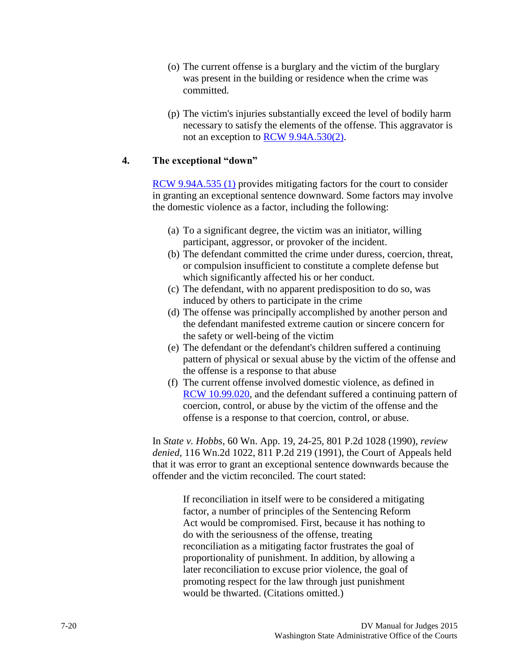- (o) The current offense is a burglary and the victim of the burglary was present in the building or residence when the crime was committed.
- (p) The victim's injuries substantially exceed the level of bodily harm necessary to satisfy the elements of the offense. This aggravator is not an exception to [RCW 9.94A.530\(2\).](http://apps.leg.wa.gov/RCW/default.aspx?cite=9.94A.530)

#### **4. The exceptional "down"**

[RCW 9.94A.535 \(1\)](http://apps.leg.wa.gov/RCW/default.aspx?cite=9.94A.535) provides mitigating factors for the court to consider in granting an exceptional sentence downward. Some factors may involve the domestic violence as a factor, including the following:

- (a) To a significant degree, the victim was an initiator, willing participant, aggressor, or provoker of the incident.
- (b) The defendant committed the crime under duress, coercion, threat, or compulsion insufficient to constitute a complete defense but which significantly affected his or her conduct.
- (c) The defendant, with no apparent predisposition to do so, was induced by others to participate in the crime
- (d) The offense was principally accomplished by another person and the defendant manifested extreme caution or sincere concern for the safety or well-being of the victim
- (e) The defendant or the defendant's children suffered a continuing pattern of physical or sexual abuse by the victim of the offense and the offense is a response to that abuse
- (f) The current offense involved domestic violence, as defined in [RCW 10.99.020,](http://apps.leg.wa.gov/rcw/default.aspx?cite=10.99.020) and the defendant suffered a continuing pattern of coercion, control, or abuse by the victim of the offense and the offense is a response to that coercion, control, or abuse.

In *State v. Hobbs*, 60 Wn. App. 19, 24-25, 801 P.2d 1028 (1990), *review denied,* 116 Wn.2d 1022, 811 P.2d 219 (1991), the Court of Appeals held that it was error to grant an exceptional sentence downwards because the offender and the victim reconciled. The court stated:

> If reconciliation in itself were to be considered a mitigating factor, a number of principles of the Sentencing Reform Act would be compromised. First, because it has nothing to do with the seriousness of the offense, treating reconciliation as a mitigating factor frustrates the goal of proportionality of punishment. In addition, by allowing a later reconciliation to excuse prior violence, the goal of promoting respect for the law through just punishment would be thwarted. (Citations omitted.)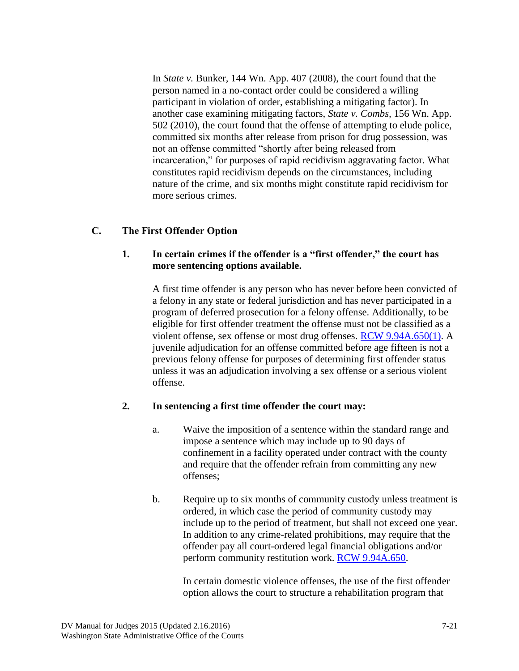In *State v.* Bunker*,* 144 Wn. App. 407 (2008), the court found that the person named in a no-contact order could be considered a willing participant in violation of order, establishing a mitigating factor). In another case examining mitigating factors, *State v. Combs,* 156 Wn. App. 502 (2010), the court found that the offense of attempting to elude police, committed six months after release from prison for drug possession, was not an offense committed "shortly after being released from incarceration," for purposes of rapid recidivism aggravating factor. What constitutes rapid recidivism depends on the circumstances, including nature of the crime, and six months might constitute rapid recidivism for more serious crimes.

#### **C. The First Offender Option**

#### **1. In certain crimes if the offender is a "first offender," the court has more sentencing options available.**

A first time offender is any person who has never before been convicted of a felony in any state or federal jurisdiction and has never participated in a program of deferred prosecution for a felony offense. Additionally, to be eligible for first offender treatment the offense must not be classified as a violent offense, sex offense or most drug offenses. [RCW 9.94A.650\(1\).](http://apps.leg.wa.gov/RCW/default.aspx?cite=9.94A.650) A juvenile adjudication for an offense committed before age fifteen is not a previous felony offense for purposes of determining first offender status unless it was an adjudication involving a sex offense or a serious violent offense.

#### **2. In sentencing a first time offender the court may:**

- a. Waive the imposition of a sentence within the standard range and impose a sentence which may include up to 90 days of confinement in a facility operated under contract with the county and require that the offender refrain from committing any new offenses;
- b. Require up to six months of community custody unless treatment is ordered, in which case the period of community custody may include up to the period of treatment, but shall not exceed one year. In addition to any crime-related prohibitions, may require that the offender pay all court-ordered legal financial obligations and/or perform community restitution work. [RCW 9.94A.650.](http://apps.leg.wa.gov/RCW/default.aspx?cite=9.94A.650)

In certain domestic violence offenses, the use of the first offender option allows the court to structure a rehabilitation program that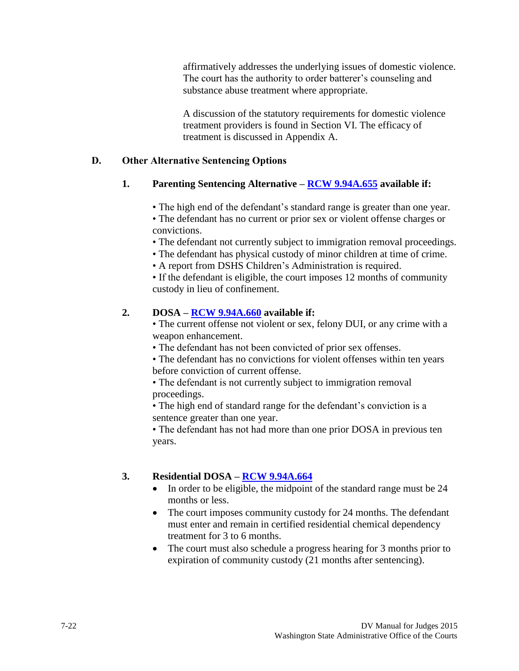affirmatively addresses the underlying issues of domestic violence. The court has the authority to order batterer's counseling and substance abuse treatment where appropriate.

A discussion of the statutory requirements for domestic violence treatment providers is found in Section VI. The efficacy of treatment is discussed in Appendix A.

#### **D. Other Alternative Sentencing Options**

### **1. Parenting Sentencing Alternative – [RCW 9.94A.655](http://apps.leg.wa.gov/rcw/default.aspx?cite=9.94A.655) available if:**

• The high end of the defendant's standard range is greater than one year.

• The defendant has no current or prior sex or violent offense charges or convictions.

• The defendant not currently subject to immigration removal proceedings.

• The defendant has physical custody of minor children at time of crime.

• A report from DSHS Children's Administration is required.

• If the defendant is eligible, the court imposes 12 months of community custody in lieu of confinement.

### **2. DOSA – [RCW 9.94A.660](http://apps.leg.wa.gov/rcw/default.aspx?cite=9.94A.660) available if:**

• The current offense not violent or sex, felony DUI, or any crime with a weapon enhancement.

- The defendant has not been convicted of prior sex offenses.
- The defendant has no convictions for violent offenses within ten years before conviction of current offense.
- The defendant is not currently subject to immigration removal proceedings.

• The high end of standard range for the defendant's conviction is a sentence greater than one year.

• The defendant has not had more than one prior DOSA in previous ten years.

#### **3. Residential DOSA – RCW [9.94A.664](http://apps.leg.wa.gov/rcw/default.aspx?cite=9.94A.664)**

- In order to be eligible, the midpoint of the standard range must be 24 months or less.
- The court imposes community custody for 24 months. The defendant must enter and remain in certified residential chemical dependency treatment for 3 to 6 months.
- The court must also schedule a progress hearing for 3 months prior to expiration of community custody (21 months after sentencing).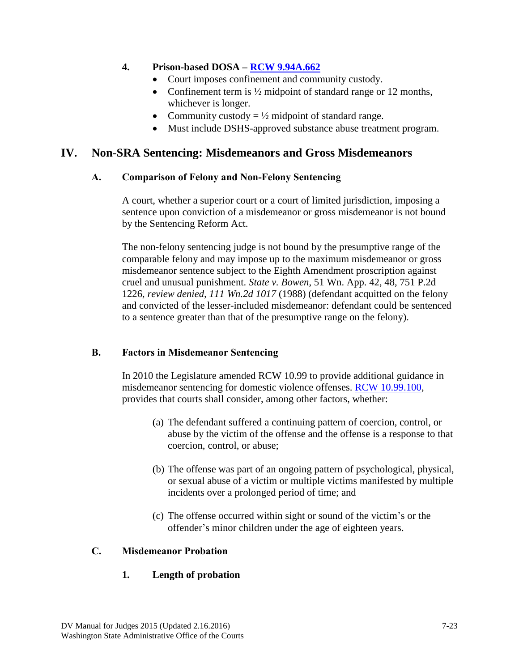### **4. Prison-based DOSA – [RCW 9.94A.662](http://apps.leg.wa.gov/rcw/default.aspx?cite=9.94A.662)**

- Court imposes confinement and community custody.
- Confinement term is  $\frac{1}{2}$  midpoint of standard range or 12 months, whichever is longer.
- Community custody  $= \frac{1}{2}$  midpoint of standard range.
- Must include DSHS-approved substance abuse treatment program.

## **IV. Non-SRA Sentencing: Misdemeanors and Gross Misdemeanors**

#### **A. Comparison of Felony and Non-Felony Sentencing**

A court, whether a superior court or a court of limited jurisdiction, imposing a sentence upon conviction of a misdemeanor or gross misdemeanor is not bound by the Sentencing Reform Act.

The non-felony sentencing judge is not bound by the presumptive range of the comparable felony and may impose up to the maximum misdemeanor or gross misdemeanor sentence subject to the Eighth Amendment proscription against cruel and unusual punishment. *State v. Bowen*, 51 Wn. App. 42, 48, 751 P.2d 1226, *review denied, 111 Wn.2d 1017* (1988) (defendant acquitted on the felony and convicted of the lesser-included misdemeanor: defendant could be sentenced to a sentence greater than that of the presumptive range on the felony).

#### **B. Factors in Misdemeanor Sentencing**

In 2010 the Legislature amended RCW 10.99 to provide additional guidance in misdemeanor sentencing for domestic violence offenses. [RCW 10.99.100,](http://apps.leg.wa.gov/RCW/default.aspx?cite=10.99.100) provides that courts shall consider, among other factors, whether:

- (a) The defendant suffered a continuing pattern of coercion, control, or abuse by the victim of the offense and the offense is a response to that coercion, control, or abuse;
- (b) The offense was part of an ongoing pattern of psychological, physical, or sexual abuse of a victim or multiple victims manifested by multiple incidents over a prolonged period of time; and
- (c) The offense occurred within sight or sound of the victim's or the offender's minor children under the age of eighteen years.

#### **C. Misdemeanor Probation**

## **1. Length of probation**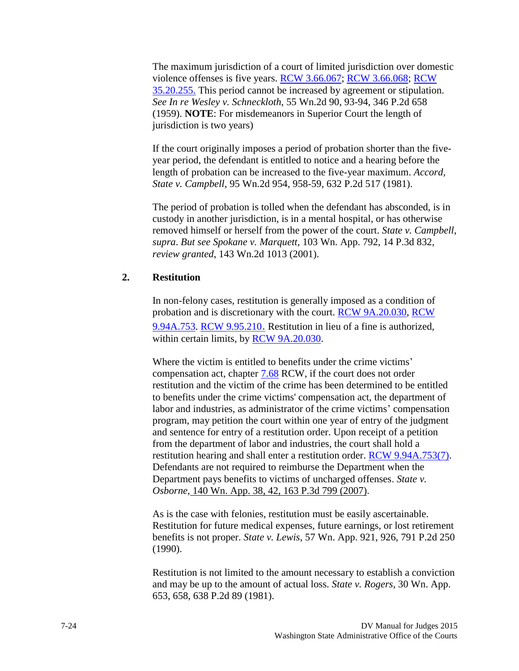The maximum jurisdiction of a court of limited jurisdiction over domestic violence offenses is five years. [RCW 3.66.067;](http://apps.leg.wa.gov/RCW/default.aspx?cite=3.66.067) [RCW 3.66.068;](http://apps.leg.wa.gov/RCW/default.aspx?cite=3.66.068) [RCW](http://apps.leg.wa.gov/RCW/default.aspx?cite=35.20.255)  [35.20.255.](http://apps.leg.wa.gov/RCW/default.aspx?cite=35.20.255) This period cannot be increased by agreement or stipulation. *See In re Wesley v. Schneckloth*, 55 Wn.2d 90, 93-94, 346 P.2d 658 (1959). **NOTE**: For misdemeanors in Superior Court the length of jurisdiction is two years)

If the court originally imposes a period of probation shorter than the fiveyear period, the defendant is entitled to notice and a hearing before the length of probation can be increased to the five-year maximum. *Accord, State v. Campbell*, 95 Wn.2d 954, 958-59, 632 P.2d 517 (1981).

The period of probation is tolled when the defendant has absconded, is in custody in another jurisdiction, is in a mental hospital, or has otherwise removed himself or herself from the power of the court. *State v. Campbell*, *supra*. *But see Spokane v. Marquett,* 103 Wn. App. 792, 14 P.3d 832, *review granted*, 143 Wn.2d 1013 (2001).

#### **2. Restitution**

In non-felony cases, restitution is generally imposed as a condition of probation and is discretionary with the court. [RCW 9A.20.030,](http://apps.leg.wa.gov/RCW/default.aspx?cite=9A.20.030) [RCW](http://apps.leg.wa.gov/RCW/default.aspx?cite=9.94A.753)  [9.94A.753.](http://apps.leg.wa.gov/RCW/default.aspx?cite=9.94A.753) [RCW 9.95.210](http://apps.leg.wa.gov/RCW/default.aspx?cite=9.95.210). Restitution in lieu of a fine is authorized, within certain limits, by [RCW 9A.20.030.](http://apps.leg.wa.gov/RCW/default.aspx?cite=9A.20.030)

Where the victim is entitled to benefits under the crime victims' compensation act, chapter [7.68](http://apps.leg.wa.gov/RCW/default.aspx?cite=7.68) RCW, if the court does not order restitution and the victim of the crime has been determined to be entitled to benefits under the crime victims' compensation act, the department of labor and industries, as administrator of the crime victims' compensation program, may petition the court within one year of entry of the judgment and sentence for entry of a restitution order. Upon receipt of a petition from the department of labor and industries, the court shall hold a restitution hearing and shall enter a restitution order. [RCW 9.94A.753\(7\).](http://apps.leg.wa.gov/RCW/default.aspx?cite=9.94A.753) Defendants are not required to reimburse the Department when the Department pays benefits to victims of uncharged offenses. *State v. Osborne,* 140 Wn. App. 38, 42, 163 P.3d 799 (2007).

As is the case with felonies, restitution must be easily ascertainable. Restitution for future medical expenses, future earnings, or lost retirement benefits is not proper. *State v. Lewis*, 57 Wn. App. 921, 926, 791 P.2d 250 (1990).

Restitution is not limited to the amount necessary to establish a conviction and may be up to the amount of actual loss. *State v. Rogers*, 30 Wn. App. 653, 658, 638 P.2d 89 (1981).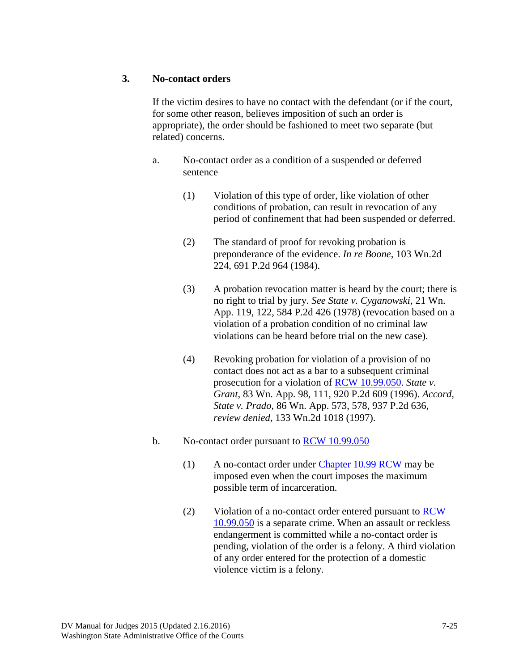#### **3. No-contact orders**

If the victim desires to have no contact with the defendant (or if the court, for some other reason, believes imposition of such an order is appropriate), the order should be fashioned to meet two separate (but related) concerns.

- a. No-contact order as a condition of a suspended or deferred sentence
	- (1) Violation of this type of order, like violation of other conditions of probation, can result in revocation of any period of confinement that had been suspended or deferred.
	- (2) The standard of proof for revoking probation is preponderance of the evidence. *In re Boone*, 103 Wn.2d 224, 691 P.2d 964 (1984).
	- (3) A probation revocation matter is heard by the court; there is no right to trial by jury. *See State v. Cyganowski*, 21 Wn. App. 119, 122, 584 P.2d 426 (1978) (revocation based on a violation of a probation condition of no criminal law violations can be heard before trial on the new case).
	- (4) Revoking probation for violation of a provision of no contact does not act as a bar to a subsequent criminal prosecution for a violation of [RCW 10.99.050.](http://apps.leg.wa.gov/RCW/default.aspx?cite=10.99.050) *State v. Grant*, 83 Wn. App. 98, 111, 920 P.2d 609 (1996). *Accord, State v. Prado,* 86 Wn. App. 573, 578, 937 P.2d 636, *review denied,* 133 Wn.2d 1018 (1997).
- b. No-contact order pursuant to [RCW 10.99.050](http://apps.leg.wa.gov/RCW/default.aspx?cite=10.99.050)
	- (1) A no-contact order under [Chapter 10.99 RCW](http://apps.leg.wa.gov/RCW/default.aspx?cite=10.99) may be imposed even when the court imposes the maximum possible term of incarceration.
	- (2) Violation of a no-contact order entered pursuant to [RCW](http://apps.leg.wa.gov/RCW/default.aspx?cite=10.99.050)  [10.99.050](http://apps.leg.wa.gov/RCW/default.aspx?cite=10.99.050) is a separate crime. When an assault or reckless endangerment is committed while a no-contact order is pending, violation of the order is a felony. A third violation of any order entered for the protection of a domestic violence victim is a felony.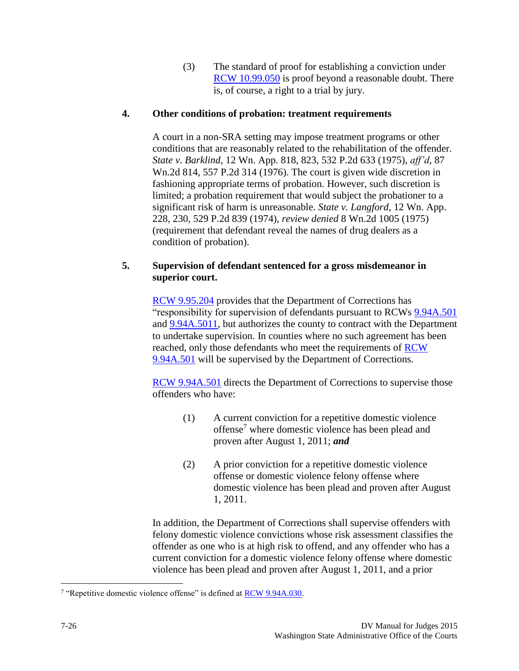(3) The standard of proof for establishing a conviction under [RCW 10.99.050](http://apps.leg.wa.gov/RCW/default.aspx?cite=10.99.050) is proof beyond a reasonable doubt. There is, of course, a right to a trial by jury.

#### **4. Other conditions of probation: treatment requirements**

A court in a non-SRA setting may impose treatment programs or other conditions that are reasonably related to the rehabilitation of the offender. *State v. Barklind*, 12 Wn. App. 818, 823, 532 P.2d 633 (1975), *aff'd*, 87 Wn.2d 814, 557 P.2d 314 (1976). The court is given wide discretion in fashioning appropriate terms of probation. However, such discretion is limited; a probation requirement that would subject the probationer to a significant risk of harm is unreasonable. *State v. Langford*, 12 Wn. App. 228, 230, 529 P.2d 839 (1974), *review denied* 8 Wn.2d 1005 (1975) (requirement that defendant reveal the names of drug dealers as a condition of probation).

#### **5. Supervision of defendant sentenced for a gross misdemeanor in superior court.**

[RCW 9.95.204](http://apps.leg.wa.gov/RCW/default.aspx?cite=9.95.204) provides that the Department of Corrections has "responsibility for supervision of defendants pursuant to RCWs [9.94A.501](http://apps.leg.wa.gov/rcw/default.aspx?cite=9.94A.501) and [9.94A.5011,](http://apps.leg.wa.gov/rcw/default.aspx?cite=9.94A.5011) but authorizes the county to contract with the Department to undertake supervision. In counties where no such agreement has been reached, only those defendants who meet the requirements of [RCW](http://apps.leg.wa.gov/RCW/default.aspx?cite=9.94A.501) [9.94A.501](http://apps.leg.wa.gov/RCW/default.aspx?cite=9.94A.501) will be supervised by the Department of Corrections.

RCW [9.94A.501](http://apps.leg.wa.gov/RCW/default.aspx?cite=9.94A.501) directs the Department of Corrections to supervise those offenders who have:

- (1) A current conviction for a repetitive domestic violence offense<sup>7</sup> where domestic violence has been plead and proven after August 1, 2011; *and*
- (2) A prior conviction for a repetitive domestic violence offense or domestic violence felony offense where domestic violence has been plead and proven after August 1, 2011.

In addition, the Department of Corrections shall supervise offenders with felony domestic violence convictions whose risk assessment classifies the offender as one who is at high risk to offend, and any offender who has a current conviction for a domestic violence felony offense where domestic violence has been plead and proven after August 1, 2011, and a prior

 $\overline{a}$ 

<sup>&</sup>lt;sup>7</sup> "Repetitive domestic violence offense" is defined at **RCW 9.94A.030**.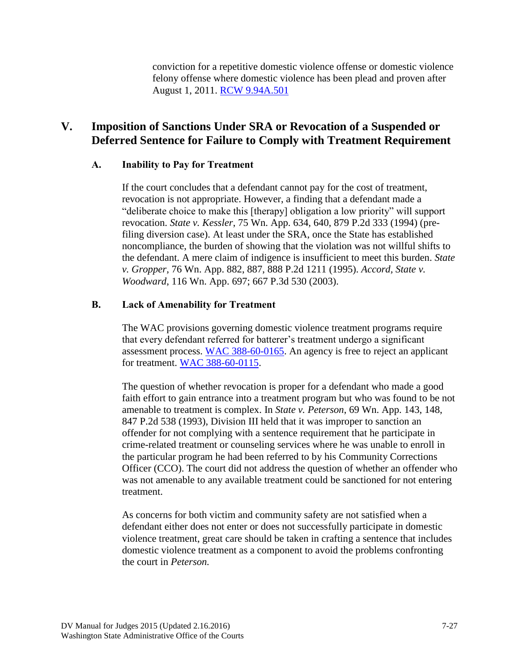conviction for a repetitive domestic violence offense or domestic violence felony offense where domestic violence has been plead and proven after August 1, 2011. RCW [9.94A.501](http://apps.leg.wa.gov/RCW/default.aspx?cite=9.94A.501)

# **V. Imposition of Sanctions Under SRA or Revocation of a Suspended or Deferred Sentence for Failure to Comply with Treatment Requirement**

#### **A. Inability to Pay for Treatment**

If the court concludes that a defendant cannot pay for the cost of treatment, revocation is not appropriate. However, a finding that a defendant made a "deliberate choice to make this [therapy] obligation a low priority" will support revocation. *State v. Kessler*, 75 Wn. App. 634, 640, 879 P.2d 333 (1994) (prefiling diversion case). At least under the SRA, once the State has established noncompliance, the burden of showing that the violation was not willful shifts to the defendant. A mere claim of indigence is insufficient to meet this burden. *State v. Gropper*, 76 Wn. App. 882, 887, 888 P.2d 1211 (1995). *Accord, State v. Woodward*, 116 Wn. App. 697; 667 P.3d 530 (2003).

#### **B. Lack of Amenability for Treatment**

The WAC provisions governing domestic violence treatment programs require that every defendant referred for batterer's treatment undergo a significant assessment process. [WAC 388-60-0165.](http://apps.leg.wa.gov/WAC/default.aspx?cite=388-60-0165) An agency is free to reject an applicant for treatment. [WAC 388-60-0115.](http://apps.leg.wa.gov/WAC/default.aspx?cite=388-60-0115)

The question of whether revocation is proper for a defendant who made a good faith effort to gain entrance into a treatment program but who was found to be not amenable to treatment is complex. In *State v. Peterson*, 69 Wn. App. 143, 148, 847 P.2d 538 (1993), Division III held that it was improper to sanction an offender for not complying with a sentence requirement that he participate in crime-related treatment or counseling services where he was unable to enroll in the particular program he had been referred to by his Community Corrections Officer (CCO). The court did not address the question of whether an offender who was not amenable to any available treatment could be sanctioned for not entering treatment.

As concerns for both victim and community safety are not satisfied when a defendant either does not enter or does not successfully participate in domestic violence treatment, great care should be taken in crafting a sentence that includes domestic violence treatment as a component to avoid the problems confronting the court in *Peterson.*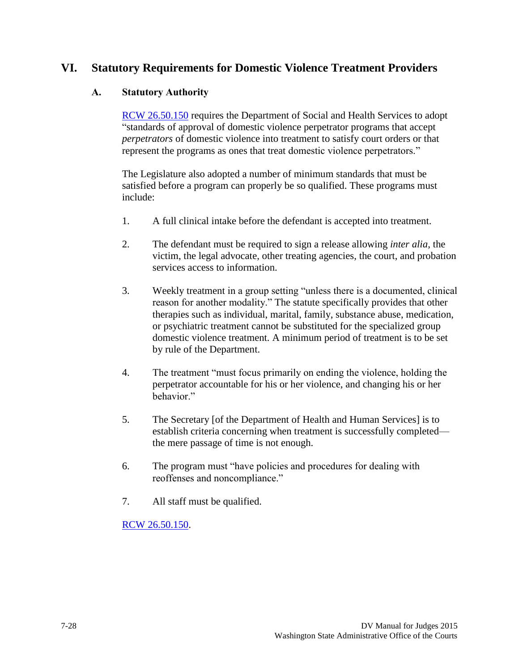## **VI. Statutory Requirements for Domestic Violence Treatment Providers**

#### **A. Statutory Authority**

[RCW 26.50.150](http://apps.leg.wa.gov/RCW/default.aspx?cite=26.50.150) requires the Department of Social and Health Services to adopt "standards of approval of domestic violence perpetrator programs that accept *perpetrators* of domestic violence into treatment to satisfy court orders or that represent the programs as ones that treat domestic violence perpetrators."

The Legislature also adopted a number of minimum standards that must be satisfied before a program can properly be so qualified. These programs must include:

- 1. A full clinical intake before the defendant is accepted into treatment.
- 2. The defendant must be required to sign a release allowing *inter alia*, the victim, the legal advocate, other treating agencies, the court, and probation services access to information.
- 3. Weekly treatment in a group setting "unless there is a documented, clinical reason for another modality." The statute specifically provides that other therapies such as individual, marital, family, substance abuse, medication, or psychiatric treatment cannot be substituted for the specialized group domestic violence treatment. A minimum period of treatment is to be set by rule of the Department.
- 4. The treatment "must focus primarily on ending the violence, holding the perpetrator accountable for his or her violence, and changing his or her behavior."
- 5. The Secretary [of the Department of Health and Human Services] is to establish criteria concerning when treatment is successfully completed the mere passage of time is not enough.
- 6. The program must "have policies and procedures for dealing with reoffenses and noncompliance."
- 7. All staff must be qualified.

[RCW 26.50.150.](http://apps.leg.wa.gov/RCW/default.asp?cite=26.50.150)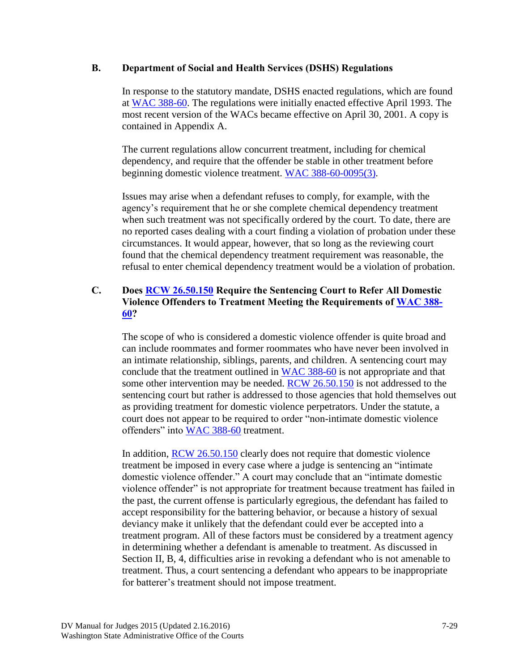#### **B. Department of Social and Health Services (DSHS) Regulations**

In response to the statutory mandate, DSHS enacted regulations, which are found at [WAC 388-60.](http://apps.leg.wa.gov/WAC/default.aspx?cite=388-60) The regulations were initially enacted effective April 1993. The most recent version of the WACs became effective on April 30, 2001. A copy is contained in Appendix A.

The current regulations allow concurrent treatment, including for chemical dependency, and require that the offender be stable in other treatment before beginning domestic violence treatment. [WAC 388-60-0095\(3\).](http://apps.leg.wa.gov/WAC/default.aspx?cite=388-60-0095)

Issues may arise when a defendant refuses to comply, for example, with the agency's requirement that he or she complete chemical dependency treatment when such treatment was not specifically ordered by the court. To date, there are no reported cases dealing with a court finding a violation of probation under these circumstances. It would appear, however, that so long as the reviewing court found that the chemical dependency treatment requirement was reasonable, the refusal to enter chemical dependency treatment would be a violation of probation.

#### **C. Does [RCW 26.50.150](http://apps.leg.wa.gov/RCW/default.aspx?cite=26.50.150) Require the Sentencing Court to Refer All Domestic Violence Offenders to Treatment Meeting the Requirements of [WAC 388-](http://apps.leg.wa.gov/WAC/default.aspx?cite=388-60) [60?](http://apps.leg.wa.gov/WAC/default.aspx?cite=388-60)**

The scope of who is considered a domestic violence offender is quite broad and can include roommates and former roommates who have never been involved in an intimate relationship, siblings, parents, and children. A sentencing court may conclude that the treatment outlined in [WAC 388-60](http://apps.leg.wa.gov/WAC/default.aspx?cite=388-60) is not appropriate and that some other intervention may be needed. [RCW 26.50.150](http://apps.leg.wa.gov/RCW/default.aspx?cite=26.50.150) is not addressed to the sentencing court but rather is addressed to those agencies that hold themselves out as providing treatment for domestic violence perpetrators. Under the statute, a court does not appear to be required to order "non-intimate domestic violence offenders" into [WAC 388-60](http://apps.leg.wa.gov/WAC/default.aspx?cite=388-60) treatment.

In addition, [RCW 26.50.150](http://apps.leg.wa.gov/RCW/default.aspx?cite=26.50.150) clearly does not require that domestic violence treatment be imposed in every case where a judge is sentencing an "intimate domestic violence offender." A court may conclude that an "intimate domestic violence offender" is not appropriate for treatment because treatment has failed in the past, the current offense is particularly egregious, the defendant has failed to accept responsibility for the battering behavior, or because a history of sexual deviancy make it unlikely that the defendant could ever be accepted into a treatment program. All of these factors must be considered by a treatment agency in determining whether a defendant is amenable to treatment. As discussed in Section II, B, 4, difficulties arise in revoking a defendant who is not amenable to treatment. Thus, a court sentencing a defendant who appears to be inappropriate for batterer's treatment should not impose treatment.